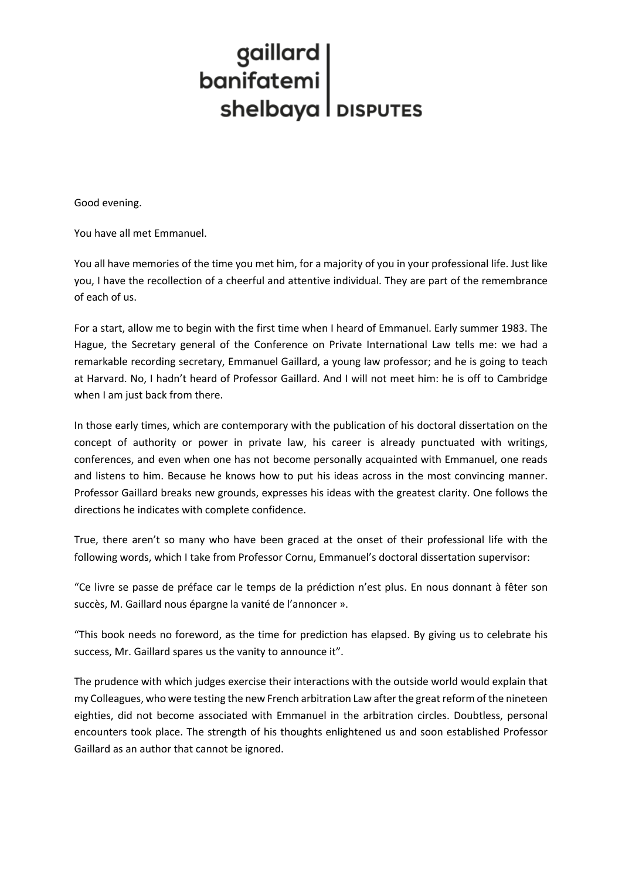## gaillard<br>
banifatemi<br>
shelbaya | DISPUTES

Good evening.

You have all met Emmanuel.

You all have memories of the time you met him, for a majority of you in your professional life. Just like you, I have the recollection of a cheerful and attentive individual. They are part of the remembrance of each of us.

For a start, allow me to begin with the first time when I heard of Emmanuel. Early summer 1983. The Hague, the Secretary general of the Conference on Private International Law tells me: we had a remarkable recording secretary, Emmanuel Gaillard, a young law professor; and he is going to teach at Harvard. No, I hadn't heard of Professor Gaillard. And I will not meet him: he is off to Cambridge when I am just back from there.

In those early times, which are contemporary with the publication of his doctoral dissertation on the concept of authority or power in private law, his career is already punctuated with writings, conferences, and even when one has not become personally acquainted with Emmanuel, one reads and listens to him. Because he knows how to put his ideas across in the most convincing manner. Professor Gaillard breaks new grounds, expresses his ideas with the greatest clarity. One follows the directions he indicates with complete confidence.

True, there aren't so many who have been graced at the onset of their professional life with the following words, which I take from Professor Cornu, Emmanuel's doctoral dissertation supervisor:

"Ce livre se passe de préface car le temps de la prédiction n'est plus. En nous donnant à fêter son succès, M. Gaillard nous épargne la vanité de l'annoncer ».

"This book needs no foreword, as the time for prediction has elapsed. By giving us to celebrate his success, Mr. Gaillard spares us the vanity to announce it".

The prudence with which judges exercise their interactions with the outside world would explain that my Colleagues, who were testing the new French arbitration Law after the great reform of the nineteen eighties, did not become associated with Emmanuel in the arbitration circles. Doubtless, personal encounters took place. The strength of his thoughts enlightened us and soon established Professor Gaillard as an author that cannot be ignored.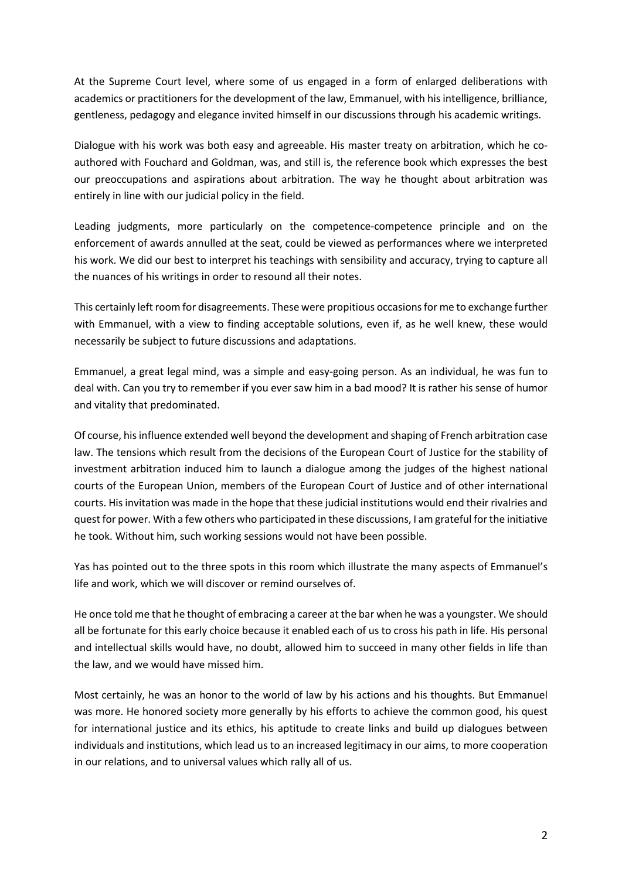At the Supreme Court level, where some of us engaged in a form of enlarged deliberations with academics or practitioners for the development of the law, Emmanuel, with his intelligence, brilliance, gentleness, pedagogy and elegance invited himself in our discussions through his academic writings.

Dialogue with his work was both easy and agreeable. His master treaty on arbitration, which he coauthored with Fouchard and Goldman, was, and still is, the reference book which expresses the best our preoccupations and aspirations about arbitration. The way he thought about arbitration was entirely in line with our judicial policy in the field.

Leading judgments, more particularly on the competence-competence principle and on the enforcement of awards annulled at the seat, could be viewed as performances where we interpreted his work. We did our best to interpret his teachings with sensibility and accuracy, trying to capture all the nuances of his writings in order to resound all their notes.

This certainly left room for disagreements. These were propitious occasions for me to exchange further with Emmanuel, with a view to finding acceptable solutions, even if, as he well knew, these would necessarily be subject to future discussions and adaptations.

Emmanuel, a great legal mind, was a simple and easy-going person. As an individual, he was fun to deal with. Can you try to remember if you ever saw him in a bad mood? It is rather his sense of humor and vitality that predominated.

Of course, his influence extended well beyond the development and shaping of French arbitration case law. The tensions which result from the decisions of the European Court of Justice for the stability of investment arbitration induced him to launch a dialogue among the judges of the highest national courts of the European Union, members of the European Court of Justice and of other international courts. His invitation was made in the hope that these judicial institutions would end their rivalries and quest for power. With a few others who participated in these discussions, I am grateful for the initiative he took. Without him, such working sessions would not have been possible.

Yas has pointed out to the three spots in this room which illustrate the many aspects of Emmanuel's life and work, which we will discover or remind ourselves of.

He once told me that he thought of embracing a career at the bar when he was a youngster. We should all be fortunate for this early choice because it enabled each of us to cross his path in life. His personal and intellectual skills would have, no doubt, allowed him to succeed in many other fields in life than the law, and we would have missed him.

Most certainly, he was an honor to the world of law by his actions and his thoughts. But Emmanuel was more. He honored society more generally by his efforts to achieve the common good, his quest for international justice and its ethics, his aptitude to create links and build up dialogues between individuals and institutions, which lead us to an increased legitimacy in our aims, to more cooperation in our relations, and to universal values which rally all of us.